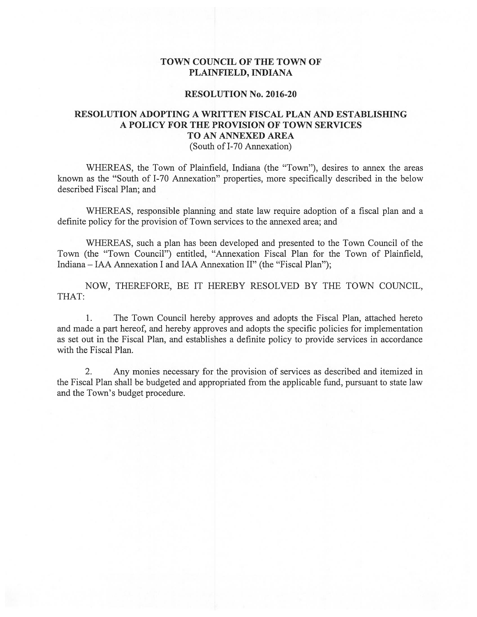## TOWN COUNCIL Of THE TOWN OF PLAINFIELD, INDIANA

## RESOLUTION No. 2016-20

## RESOLUTION ADOPTING A WRITTEN FISCAL PLAN AND ESTABLISHING A POLICY FOR THE PROVISION OF TOWN SERVICES TO AN ANNEXED AREA

(South of 1-70 Annexation)

WHEREAS, the Town of Plainfield, Indiana (the "Town"), desires to annex the areas known as the "South of 1-70 Annexation" properties, more specifically described in the below described Fiscal Plan; and

WHEREAS, responsible planning and state law require adoption of a fiscal plan and a definite policy for the provision of Town services to the annexed area; and

WHEREAS, such a plan has been developed and presented to the Town Council of the Town (the "Town Council") entitled, "Annexation Fiscal Plan for the Town of Plainfield, Indiana — IAA Annexation I and IAA Annexation II" (the "Fiscal Plan");

NOW, THEREFORE, BE IT HEREBY RESOLVED BY THE TOWN COUNCIL, THAT:

1. The Town Council hereby approves and adopts the Fiscal Plan, attached hereto and made a part hereof, and hereby approves and adopts the specific policies for implementation as set out in the Fiscal Plan, and establishes a definite policy to provide services in accordance with the Fiscal Plan.

2. Any monies necessary for the provision of services as described and itemized in the Fiscal Plan shall be budgeted and appropriated from the applicable fund, pursuant to state law and the Town's budget procedure.